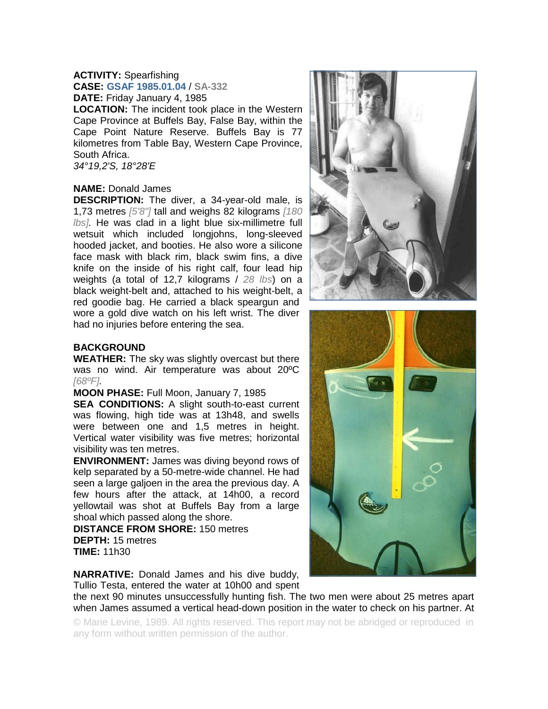# **ACTIVITY:** Spearfishing

**CASE: GSAF 1985.01.04** / **SA-332 DATE:** Friday January 4, 1985

**LOCATION:** The incident took place in the Western Cape Province at Buffels Bay, False Bay, within the Cape Point Nature Reserve. Buffels Bay is 77 kilometres from Table Bay, Western Cape Province, South Africa. *34°19,2'S, 18°28'E* 

## **NAME:** Donald James

**DESCRIPTION:** The diver, a 34-year-old male, is 1,73 metres *[5'8"]* tall and weighs 82 kilograms *[180 lbs].* He was clad in a light blue six-millimetre full wetsuit which included longjohns, long-sleeved hooded jacket, and booties. He also wore a silicone face mask with black rim, black swim fins, a dive knife on the inside of his right calf, four lead hip weights (a total of 12,7 kilograms / *28 lbs*) on a black weight-belt and, attached to his weight-belt, a red goodie bag. He carried a black speargun and wore a gold dive watch on his left wrist. The diver had no injuries before entering the sea.

## **BACKGROUND**

**WEATHER:** The sky was slightly overcast but there was no wind. Air temperature was about 20ºC *[68ºF].*

### **MOON PHASE:** Full Moon, January 7, 1985

**SEA CONDITIONS:** A slight south-to-east current was flowing, high tide was at 13h48, and swells were between one and 1,5 metres in height. Vertical water visibility was five metres; horizontal visibility was ten metres.

**ENVIRONMENT:** James was diving beyond rows of kelp separated by a 50-metre-wide channel. He had seen a large galjoen in the area the previous day. A few hours after the attack, at 14h00, a record yellowtail was shot at Buffels Bay from a large shoal which passed along the shore.

**DISTANCE FROM SHORE:** 150 metres **DEPTH:** 15 metres **TIME:** 11h30

**NARRATIVE:** Donald James and his dive buddy, Tullio Testa, entered the water at 10h00 and spent

the next 90 minutes unsuccessfully hunting fish. The two men were about 25 metres apart when James assumed a vertical head-down position in the water to check on his partner. At

© Marie Levine, 1989. All rights reserved. This report may not be abridged or reproduced in any form without written permission of the author.